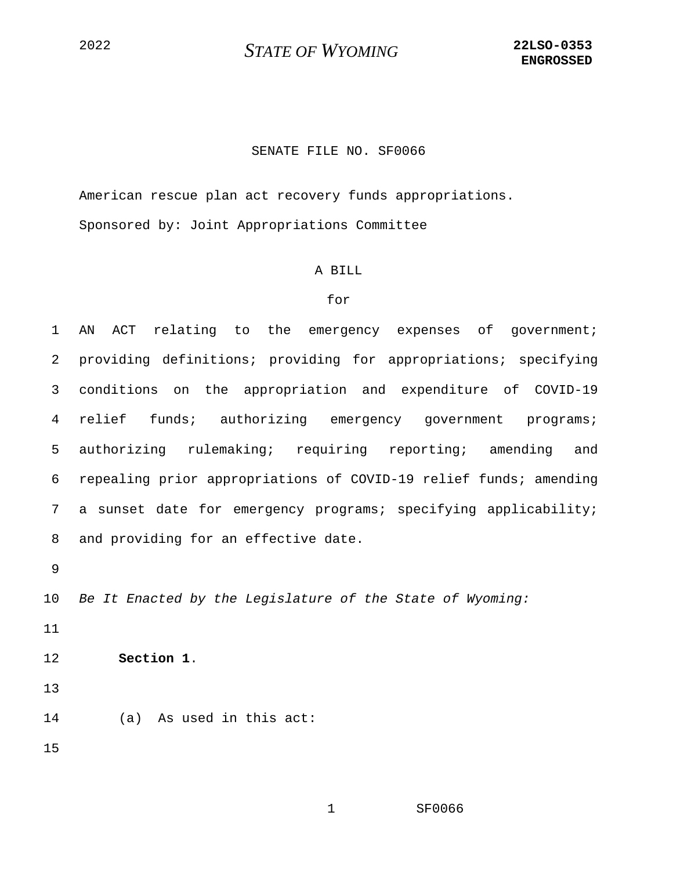# <sup>2022</sup> *STATE OF WYOMING* **22LSO-0353**

### SENATE FILE NO. SF0066

American rescue plan act recovery funds appropriations. Sponsored by: Joint Appropriations Committee

#### A BILL

#### for

1 AN ACT relating to the emergency expenses of government; 2 providing definitions; providing for appropriations; specifying 3 conditions on the appropriation and expenditure of COVID-19 4 relief funds; authorizing emergency government programs; 5 authorizing rulemaking; requiring reporting; amending and 6 repealing prior appropriations of COVID-19 relief funds; amending 7 a sunset date for emergency programs; specifying applicability; 8 and providing for an effective date.

9

10 *Be It Enacted by the Legislature of the State of Wyoming:*

11

12 **Section 1**.

13

14 (a) As used in this act:

15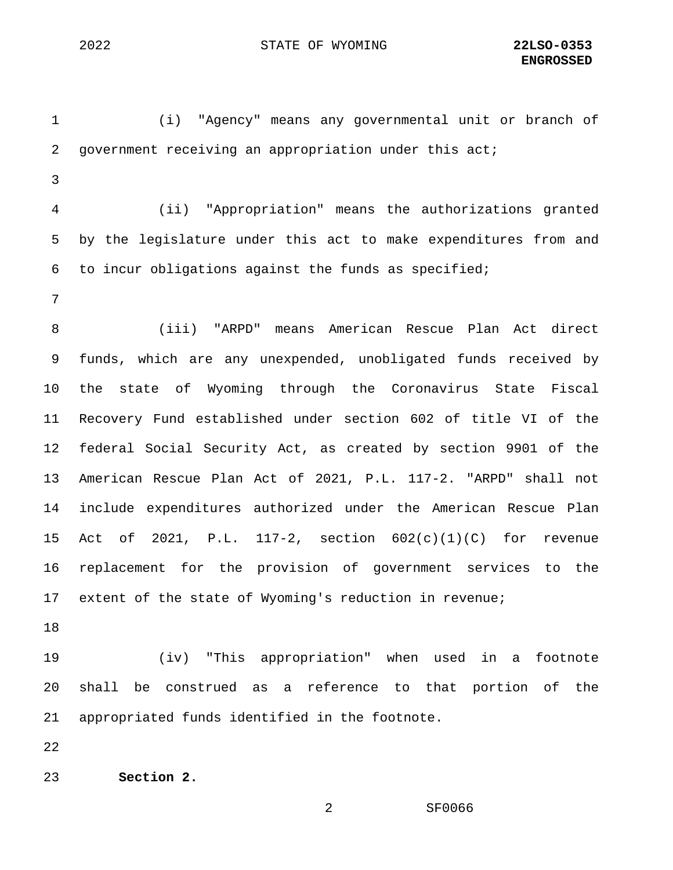1 (i) "Agency" means any governmental unit or branch of 2 government receiving an appropriation under this act; 3 4 (ii) "Appropriation" means the authorizations granted 5 by the legislature under this act to make expenditures from and 6 to incur obligations against the funds as specified; 7 8 (iii) "ARPD" means American Rescue Plan Act direct 9 funds, which are any unexpended, unobligated funds received by 10 the state of Wyoming through the Coronavirus State Fiscal 11 Recovery Fund established under section 602 of title VI of the 12 federal Social Security Act, as created by section 9901 of the 13 American Rescue Plan Act of 2021, P.L. 117-2. "ARPD" shall not 14 include expenditures authorized under the American Rescue Plan 15 Act of 2021, P.L. 117-2, section 602(c)(1)(C) for revenue 16 replacement for the provision of government services to the 17 extent of the state of Wyoming's reduction in revenue; 18 19 (iv) "This appropriation" when used in a footnote 20 shall be construed as a reference to that portion of the 21 appropriated funds identified in the footnote. 22

23 **Section 2.**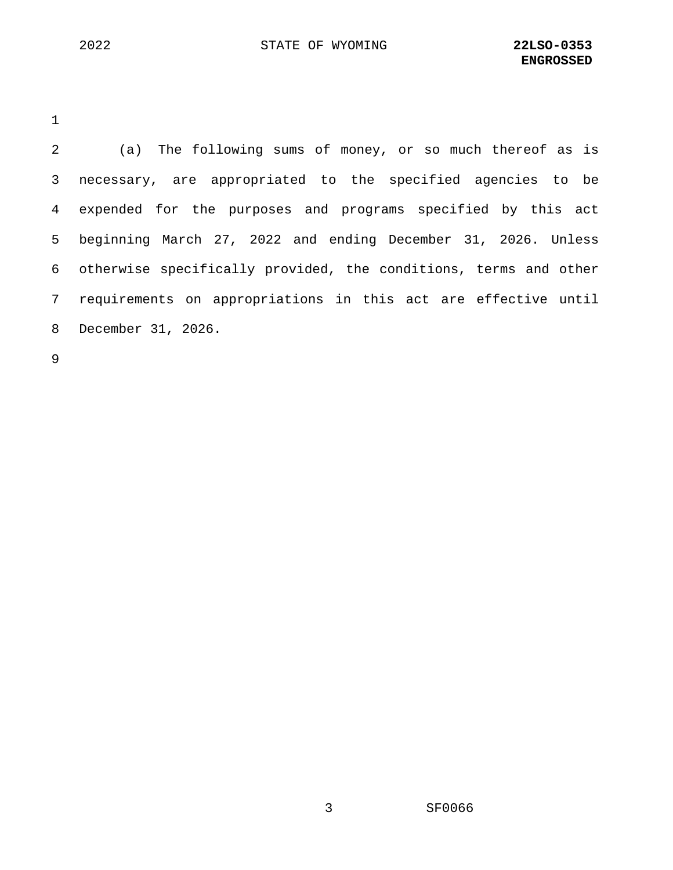1

2 (a) The following sums of money, or so much thereof as is 3 necessary, are appropriated to the specified agencies to be 4 expended for the purposes and programs specified by this act 5 beginning March 27, 2022 and ending December 31, 2026. Unless 6 otherwise specifically provided, the conditions, terms and other 7 requirements on appropriations in this act are effective until 8 December 31, 2026.

9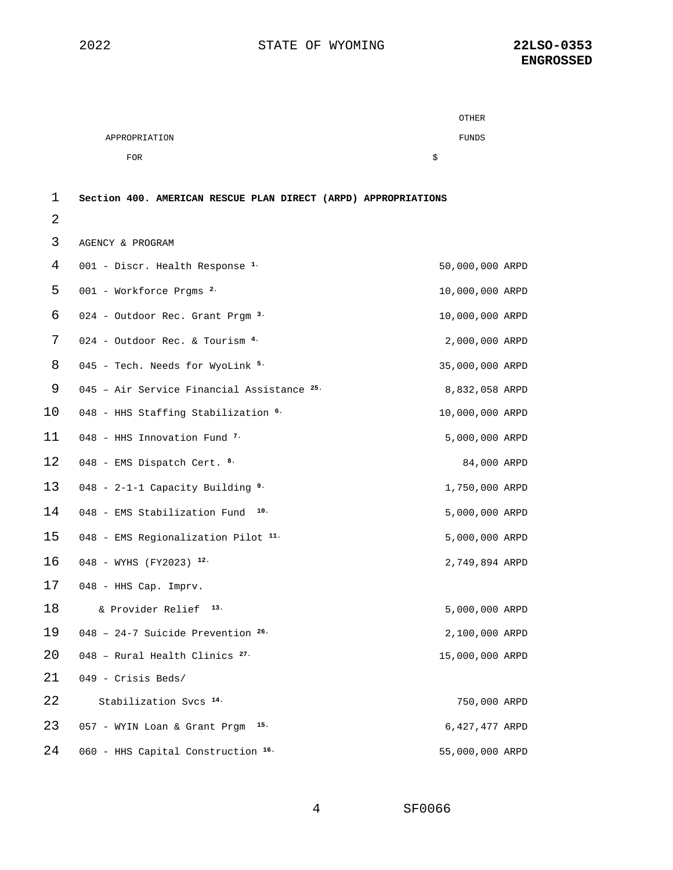|               | OTHER |  |
|---------------|-------|--|
| APPROPRIATION | FUNDS |  |
| <b>FOR</b>    | Ŝ     |  |

## **Section 400. AMERICAN RESCUE PLAN DIRECT (ARPD) APPROPRIATIONS**

| 3  | AGENCY & PROGRAM                            |                 |  |
|----|---------------------------------------------|-----------------|--|
| 4  | 001 - Discr. Health Response <sup>1.</sup>  | 50,000,000 ARPD |  |
| 5  | $001$ - Workforce Prqms $2.$                | 10,000,000 ARPD |  |
| 6  | 024 - Outdoor Rec. Grant Prgm <sup>3.</sup> | 10,000,000 ARPD |  |
| 7  | 024 - Outdoor Rec. & Tourism 4.             | 2,000,000 ARPD  |  |
| 8  | 045 - Tech. Needs for WyoLink 5.            | 35,000,000 ARPD |  |
| 9  | 045 - Air Service Financial Assistance 25.  | 8,832,058 ARPD  |  |
| 10 | 048 - HHS Staffing Stabilization 6.         | 10,000,000 ARPD |  |
| 11 | 048 - HHS Innovation Fund $7$               | 5,000,000 ARPD  |  |
| 12 | 048 - EMS Dispatch Cert. 8.                 | 84,000 ARPD     |  |
| 13 | 048 - 2-1-1 Capacity Building $9.$          | 1,750,000 ARPD  |  |
| 14 | 10.<br>048 - EMS Stabilization Fund         | 5,000,000 ARPD  |  |
| 15 | 048 - EMS Regionalization Pilot 11.         | 5,000,000 ARPD  |  |
| 16 | 048 - WYHS (FY2023) 12.                     | 2,749,894 ARPD  |  |
| 17 | 048 - HHS Cap. Imprv.                       |                 |  |
| 18 | 13.<br>& Provider Relief                    | 5,000,000 ARPD  |  |
| 19 | 048 - 24-7 Suicide Prevention $26.$         | 2,100,000 ARPD  |  |
| 20 | 048 - Rural Health Clinics <sup>27.</sup>   | 15,000,000 ARPD |  |
| 21 | 049 - Crisis Beds/                          |                 |  |
| 22 | Stabilization Svcs 14.                      | 750,000 ARPD    |  |
| 23 | 15.<br>057 - WYIN Loan & Grant Prgm         | 6,427,477 ARPD  |  |
| 24 | 060 - HHS Capital Construction 16.          | 55,000,000 ARPD |  |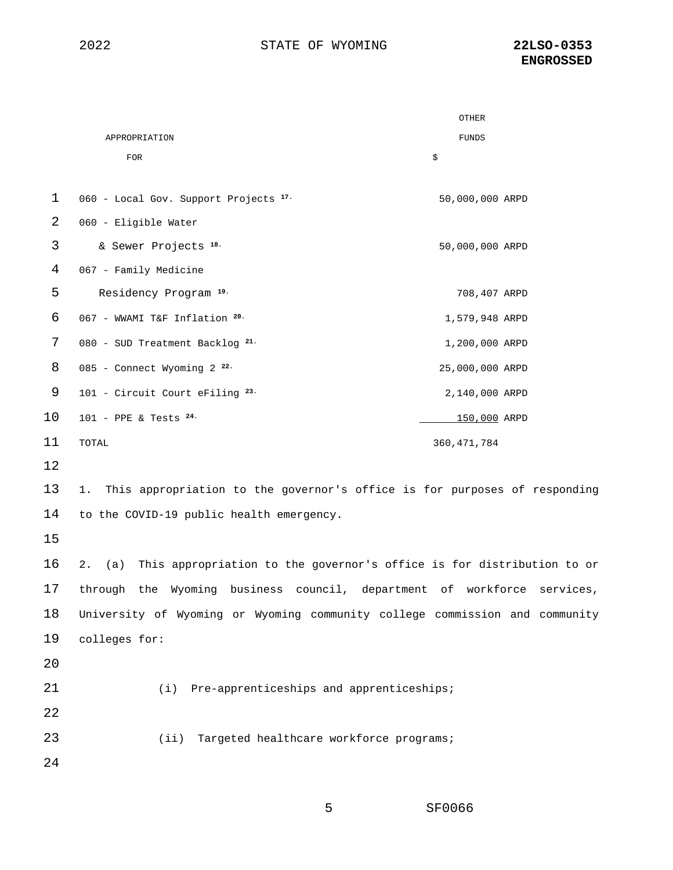|             |                                                                                    | OTHER           |
|-------------|------------------------------------------------------------------------------------|-----------------|
|             | APPROPRIATION                                                                      | <b>FUNDS</b>    |
|             | <b>FOR</b>                                                                         | \$              |
| $\mathbf 1$ | 060 - Local Gov. Support Projects 17.                                              | 50,000,000 ARPD |
| 2           | 060 - Eligible Water                                                               |                 |
| 3           | & Sewer Projects <sup>18.</sup>                                                    | 50,000,000 ARPD |
| 4           | 067 - Family Medicine                                                              |                 |
| 5           | Residency Program 19.                                                              | 708,407 ARPD    |
| 6           | 067 - WWAMI T&F Inflation 20.                                                      | 1,579,948 ARPD  |
| 7           | 080 - SUD Treatment Backlog 21.                                                    | 1,200,000 ARPD  |
| 8           | 085 - Connect Wyoming 2 <sup>22.</sup>                                             | 25,000,000 ARPD |
| 9           | 101 - Circuit Court eFiling 23.                                                    | 2,140,000 ARPD  |
| 10          | $101$ - PPE & Tests $^{24}$ .                                                      | 150,000 ARPD    |
| 11          | TOTAL                                                                              | 360, 471, 784   |
| 12          |                                                                                    |                 |
| 13          | This appropriation to the governor's office is for purposes of responding<br>1.    |                 |
| 14          | to the COVID-19 public health emergency.                                           |                 |
| 15          |                                                                                    |                 |
| 16          | This appropriation to the governor's office is for distribution to or<br>2.<br>(a) |                 |
| 17          | through the Wyoming business council, department of workforce services,            |                 |
| 18          | University of Wyoming or Wyoming community college commission and community        |                 |
| 19          | colleges for:                                                                      |                 |
| 20          |                                                                                    |                 |
| 21          | (i) Pre-apprenticeships and apprenticeships;                                       |                 |
| 22          |                                                                                    |                 |
| 23          | Targeted healthcare workforce programs;<br>(iii)                                   |                 |
| 24          |                                                                                    |                 |
|             |                                                                                    |                 |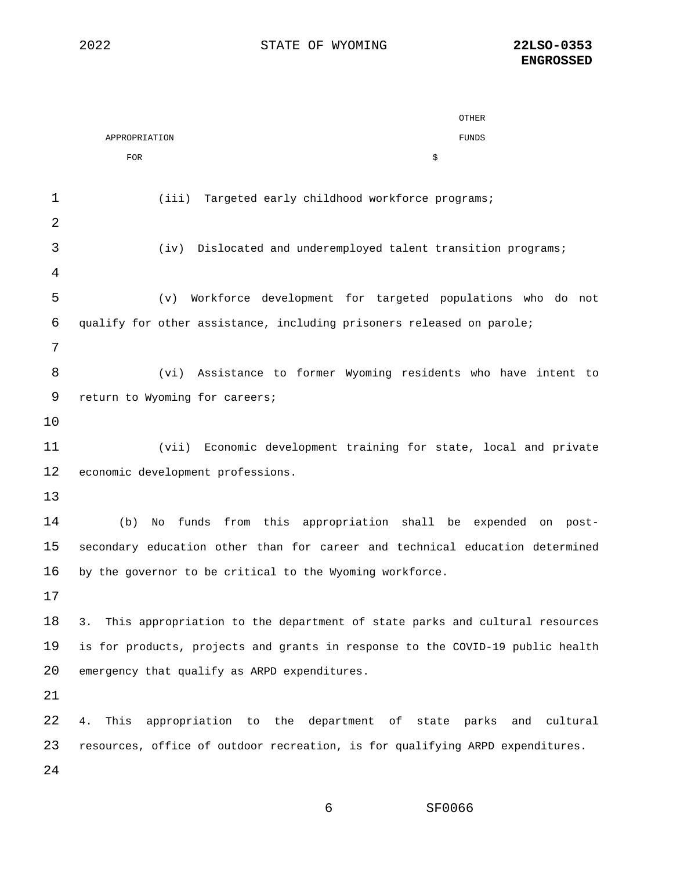|    | OTHER                                                                            |
|----|----------------------------------------------------------------------------------|
|    | <b>FUNDS</b><br>APPROPRIATION                                                    |
|    | <b>FOR</b><br>\$                                                                 |
| 1  | (iii)<br>Targeted early childhood workforce programs;                            |
| 2  |                                                                                  |
| 3  | Dislocated and underemployed talent transition programs;<br>(iv)                 |
| 4  |                                                                                  |
| 5  | Workforce development for targeted populations who do not<br>(v)                 |
| 6  | qualify for other assistance, including prisoners released on parole;            |
| 7  |                                                                                  |
| 8  | (vi) Assistance to former Wyoming residents who have intent to                   |
| 9  | return to Wyoming for careers;                                                   |
| 10 |                                                                                  |
| 11 | (vii)<br>Economic development training for state, local and private              |
| 12 | economic development professions.                                                |
| 13 |                                                                                  |
| 14 | funds from this appropriation shall be expended on post-<br>(b)<br>No            |
| 15 | secondary education other than for career and technical education determined     |
| 16 | by the governor to be critical to the Wyoming workforce.                         |
| 17 |                                                                                  |
| 18 | This appropriation to the department of state parks and cultural resources<br>3. |
| 19 | is for products, projects and grants in response to the COVID-19 public health   |
| 20 | emergency that qualify as ARPD expenditures.                                     |
| 21 |                                                                                  |
| 22 | This<br>appropriation to the department of state parks and<br>cultural<br>4.     |
| 23 | resources, office of outdoor recreation, is for qualifying ARPD expenditures.    |
| 24 |                                                                                  |
|    |                                                                                  |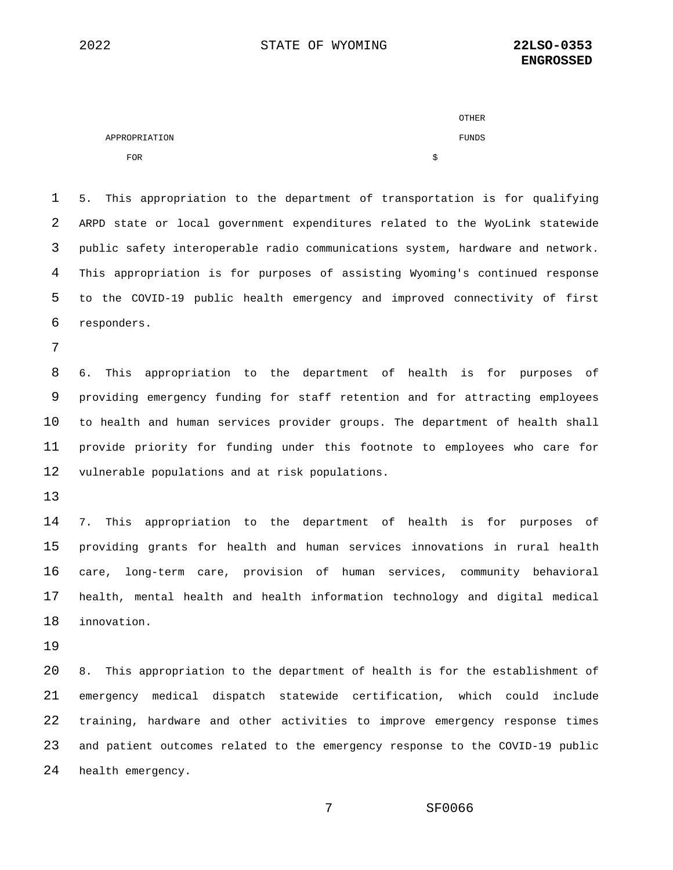|               | OTHER |
|---------------|-------|
| APPROPRIATION | FUNDS |
| <b>FOR</b>    |       |

 5. This appropriation to the department of transportation is for qualifying ARPD state or local government expenditures related to the WyoLink statewide public safety interoperable radio communications system, hardware and network. This appropriation is for purposes of assisting Wyoming's continued response to the COVID-19 public health emergency and improved connectivity of first responders.

 6. This appropriation to the department of health is for purposes of providing emergency funding for staff retention and for attracting employees to health and human services provider groups. The department of health shall provide priority for funding under this footnote to employees who care for vulnerable populations and at risk populations.

 7. This appropriation to the department of health is for purposes of providing grants for health and human services innovations in rural health care, long-term care, provision of human services, community behavioral health, mental health and health information technology and digital medical innovation.

 8. This appropriation to the department of health is for the establishment of emergency medical dispatch statewide certification, which could include training, hardware and other activities to improve emergency response times and patient outcomes related to the emergency response to the COVID-19 public health emergency.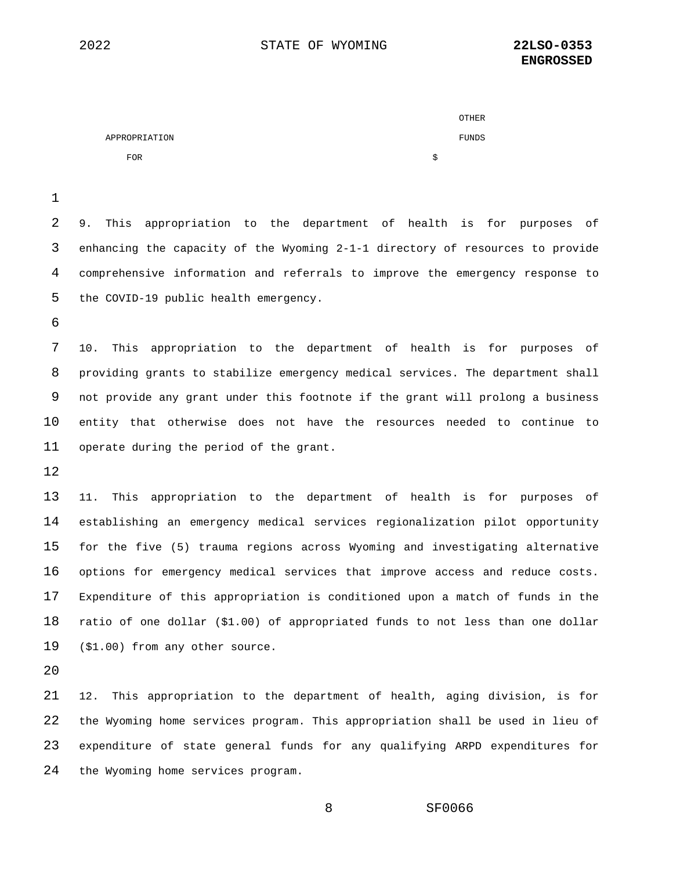|               | <b>OTHER</b> |
|---------------|--------------|
| APPROPRIATION | FUNDS        |
| <b>FOR</b>    |              |

 9. This appropriation to the department of health is for purposes of enhancing the capacity of the Wyoming 2-1-1 directory of resources to provide comprehensive information and referrals to improve the emergency response to the COVID-19 public health emergency.

 10. This appropriation to the department of health is for purposes of providing grants to stabilize emergency medical services. The department shall not provide any grant under this footnote if the grant will prolong a business entity that otherwise does not have the resources needed to continue to operate during the period of the grant.

 11. This appropriation to the department of health is for purposes of establishing an emergency medical services regionalization pilot opportunity for the five (5) trauma regions across Wyoming and investigating alternative options for emergency medical services that improve access and reduce costs. Expenditure of this appropriation is conditioned upon a match of funds in the ratio of one dollar (\$1.00) of appropriated funds to not less than one dollar (\$1.00) from any other source.

 12. This appropriation to the department of health, aging division, is for the Wyoming home services program. This appropriation shall be used in lieu of expenditure of state general funds for any qualifying ARPD expenditures for the Wyoming home services program.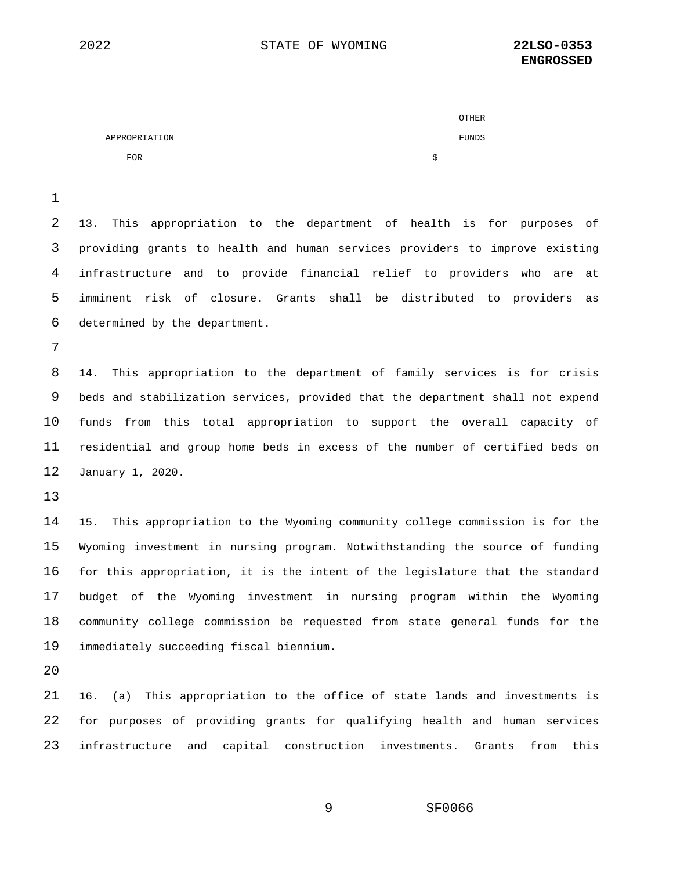|               |   | OTHER |
|---------------|---|-------|
| APPROPRIATION |   | FUNDS |
| <b>FOR</b>    | S |       |

 13. This appropriation to the department of health is for purposes of providing grants to health and human services providers to improve existing infrastructure and to provide financial relief to providers who are at imminent risk of closure. Grants shall be distributed to providers as determined by the department.

 14. This appropriation to the department of family services is for crisis beds and stabilization services, provided that the department shall not expend funds from this total appropriation to support the overall capacity of residential and group home beds in excess of the number of certified beds on January 1, 2020.

 15. This appropriation to the Wyoming community college commission is for the Wyoming investment in nursing program. Notwithstanding the source of funding for this appropriation, it is the intent of the legislature that the standard budget of the Wyoming investment in nursing program within the Wyoming community college commission be requested from state general funds for the immediately succeeding fiscal biennium.

 16. (a) This appropriation to the office of state lands and investments is for purposes of providing grants for qualifying health and human services infrastructure and capital construction investments. Grants from this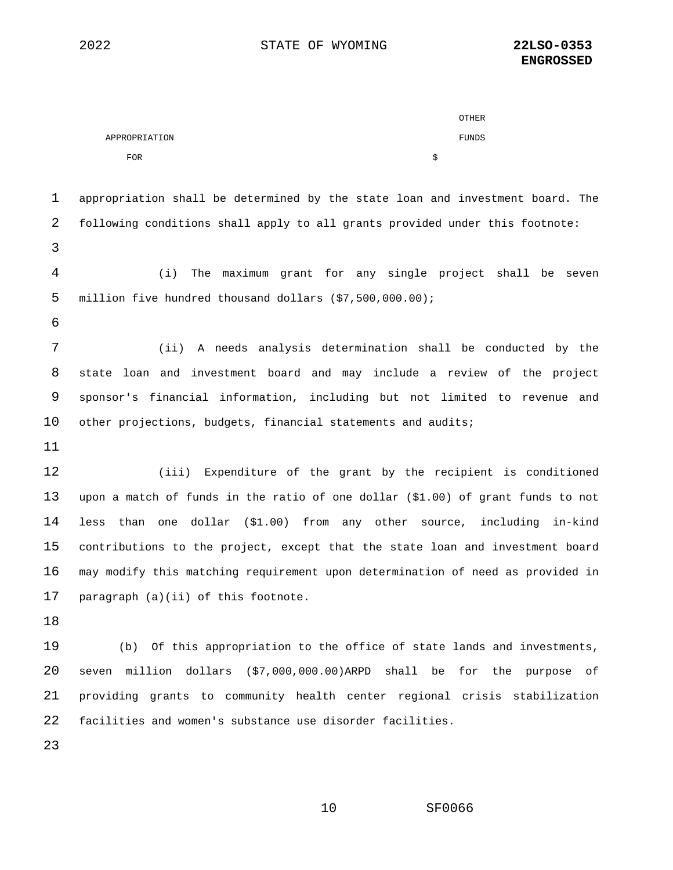|               | <b>OTHER</b> |  |
|---------------|--------------|--|
| APPROPRIATION | FUNDS        |  |
| <b>FOR</b>    | Ŝ            |  |

| $\mathbf 1$ | appropriation shall be determined by the state loan and investment board. The   |
|-------------|---------------------------------------------------------------------------------|
| 2           | following conditions shall apply to all grants provided under this footnote:    |
| 3           |                                                                                 |
| 4           | The maximum grant for any single project shall be seven<br>(i)                  |
| 5           | million five hundred thousand dollars (\$7,500,000.00);                         |
| 6           |                                                                                 |
| 7           | (ii) A needs analysis determination shall be conducted by the                   |
| 8           | state loan and investment board and may include a review of the project         |
| 9           | sponsor's financial information, including but not limited to revenue and       |
| 10          | other projections, budgets, financial statements and audits;                    |
| 11          |                                                                                 |
| 12          | (iii) Expenditure of the grant by the recipient is conditioned                  |
| 13          | upon a match of funds in the ratio of one dollar (\$1.00) of grant funds to not |
| 14          | less than one dollar (\$1.00) from any other source, including in-kind          |
| 15          | contributions to the project, except that the state loan and investment board   |
| 16          | may modify this matching requirement upon determination of need as provided in  |
| 17          | paragraph (a)(ii) of this footnote.                                             |
| 18          |                                                                                 |

 (b) Of this appropriation to the office of state lands and investments, seven million dollars (\$7,000,000.00)ARPD shall be for the purpose of providing grants to community health center regional crisis stabilization facilities and women's substance use disorder facilities.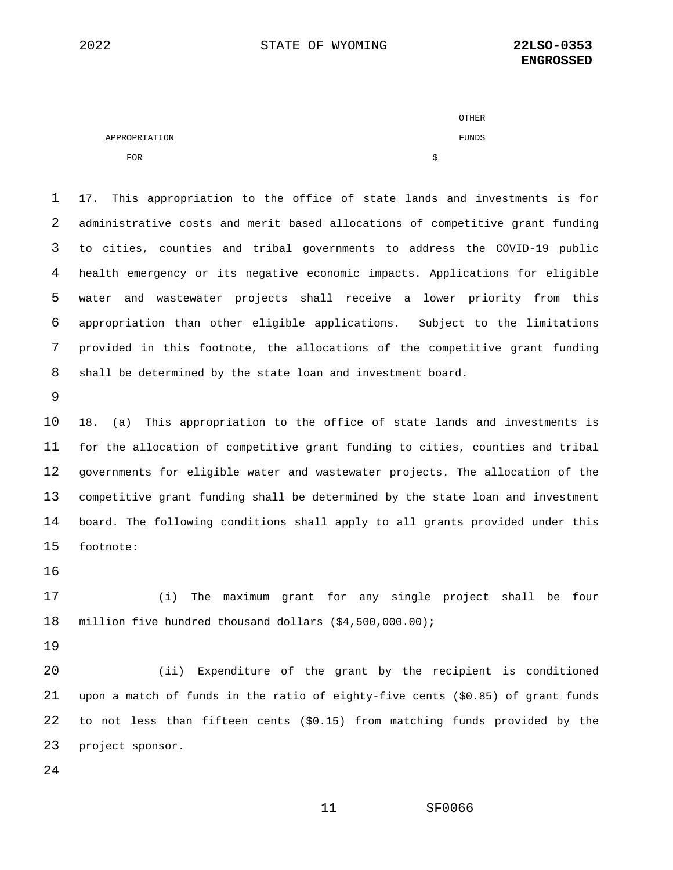|               | <b>OTHER</b> |
|---------------|--------------|
| APPROPRIATION | FUNDS        |
| <b>FOR</b>    |              |

 17. This appropriation to the office of state lands and investments is for administrative costs and merit based allocations of competitive grant funding to cities, counties and tribal governments to address the COVID-19 public health emergency or its negative economic impacts. Applications for eligible water and wastewater projects shall receive a lower priority from this appropriation than other eligible applications. Subject to the limitations provided in this footnote, the allocations of the competitive grant funding shall be determined by the state loan and investment board.

 18. (a) This appropriation to the office of state lands and investments is for the allocation of competitive grant funding to cities, counties and tribal governments for eligible water and wastewater projects. The allocation of the competitive grant funding shall be determined by the state loan and investment board. The following conditions shall apply to all grants provided under this footnote:

 (i) The maximum grant for any single project shall be four million five hundred thousand dollars (\$4,500,000.00);

 (ii) Expenditure of the grant by the recipient is conditioned upon a match of funds in the ratio of eighty-five cents (\$0.85) of grant funds to not less than fifteen cents (\$0.15) from matching funds provided by the project sponsor.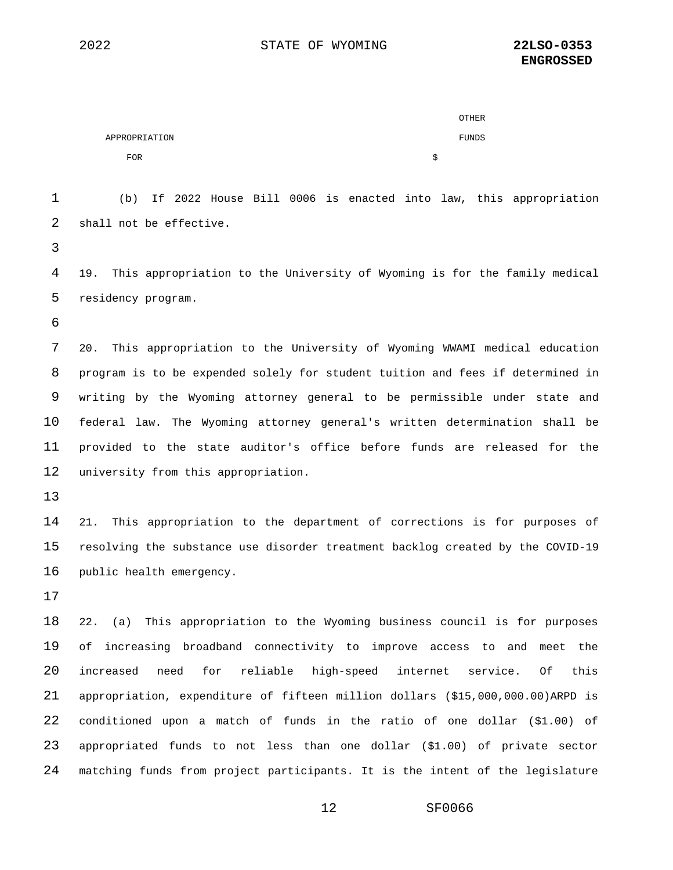|               | <b>OTHER</b> |
|---------------|--------------|
| APPROPRIATION | FUNDS        |
| <b>FOR</b>    | Ŝ            |

 (b) If 2022 House Bill 0006 is enacted into law, this appropriation shall not be effective.

 19. This appropriation to the University of Wyoming is for the family medical residency program.

 20. This appropriation to the University of Wyoming WWAMI medical education program is to be expended solely for student tuition and fees if determined in writing by the Wyoming attorney general to be permissible under state and federal law. The Wyoming attorney general's written determination shall be provided to the state auditor's office before funds are released for the university from this appropriation.

 21. This appropriation to the department of corrections is for purposes of resolving the substance use disorder treatment backlog created by the COVID-19 public health emergency.

 22. (a) This appropriation to the Wyoming business council is for purposes of increasing broadband connectivity to improve access to and meet the increased need for reliable high-speed internet service. Of this appropriation, expenditure of fifteen million dollars (\$15,000,000.00)ARPD is conditioned upon a match of funds in the ratio of one dollar (\$1.00) of appropriated funds to not less than one dollar (\$1.00) of private sector matching funds from project participants. It is the intent of the legislature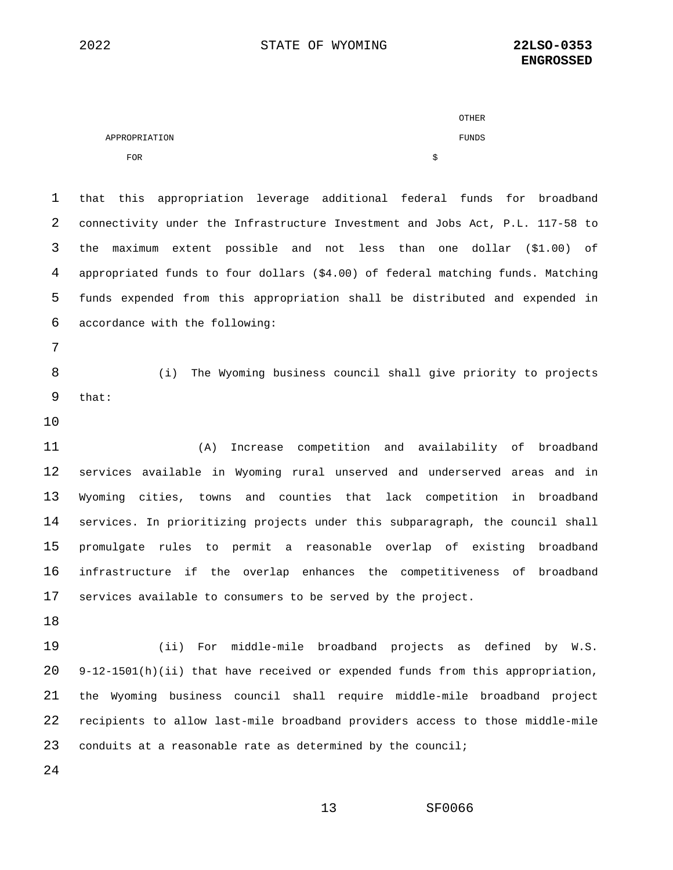|               |        | OTHER |
|---------------|--------|-------|
| APPROPRIATION |        | FUNDS |
| <b>FOR</b>    | e<br>ю |       |

 that this appropriation leverage additional federal funds for broadband connectivity under the Infrastructure Investment and Jobs Act, P.L. 117-58 to the maximum extent possible and not less than one dollar (\$1.00) of appropriated funds to four dollars (\$4.00) of federal matching funds. Matching funds expended from this appropriation shall be distributed and expended in accordance with the following:

 (i) The Wyoming business council shall give priority to projects that:

 (A) Increase competition and availability of broadband services available in Wyoming rural unserved and underserved areas and in Wyoming cities, towns and counties that lack competition in broadband services. In prioritizing projects under this subparagraph, the council shall promulgate rules to permit a reasonable overlap of existing broadband infrastructure if the overlap enhances the competitiveness of broadband services available to consumers to be served by the project.

 (ii) For middle-mile broadband projects as defined by W.S. 9-12-1501(h)(ii) that have received or expended funds from this appropriation, the Wyoming business council shall require middle-mile broadband project recipients to allow last-mile broadband providers access to those middle-mile conduits at a reasonable rate as determined by the council;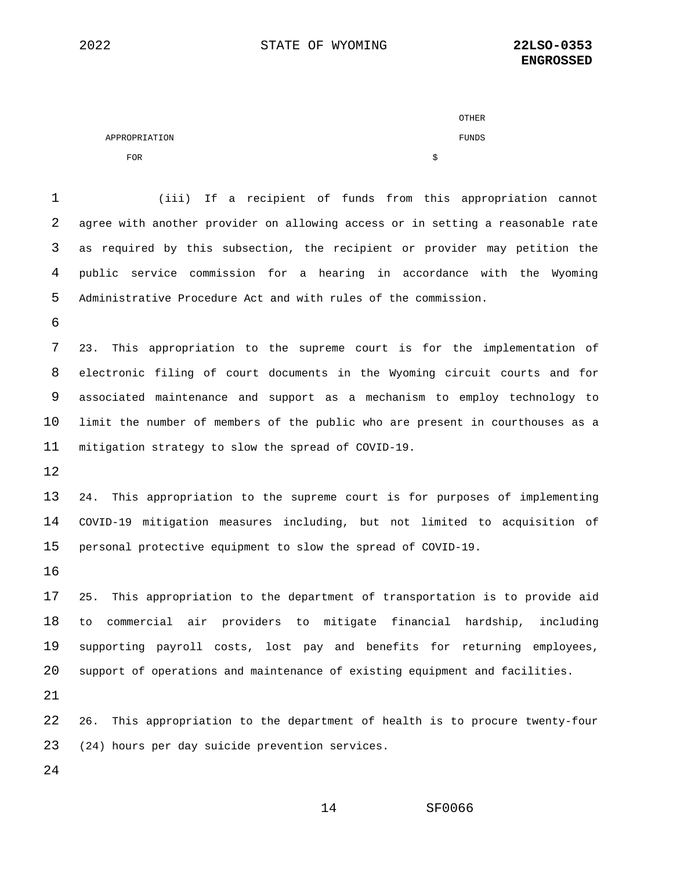|               | <b>OTHER</b> |
|---------------|--------------|
| APPROPRIATION | FUNDS        |
| <b>FOR</b>    | Ŝ            |

 (iii) If a recipient of funds from this appropriation cannot agree with another provider on allowing access or in setting a reasonable rate as required by this subsection, the recipient or provider may petition the public service commission for a hearing in accordance with the Wyoming Administrative Procedure Act and with rules of the commission. 23. This appropriation to the supreme court is for the implementation of electronic filing of court documents in the Wyoming circuit courts and for associated maintenance and support as a mechanism to employ technology to limit the number of members of the public who are present in courthouses as a mitigation strategy to slow the spread of COVID-19. 24. This appropriation to the supreme court is for purposes of implementing COVID-19 mitigation measures including, but not limited to acquisition of personal protective equipment to slow the spread of COVID-19. 25. This appropriation to the department of transportation is to provide aid to commercial air providers to mitigate financial hardship, including supporting payroll costs, lost pay and benefits for returning employees, support of operations and maintenance of existing equipment and facilities. 26. This appropriation to the department of health is to procure twenty-four (24) hours per day suicide prevention services.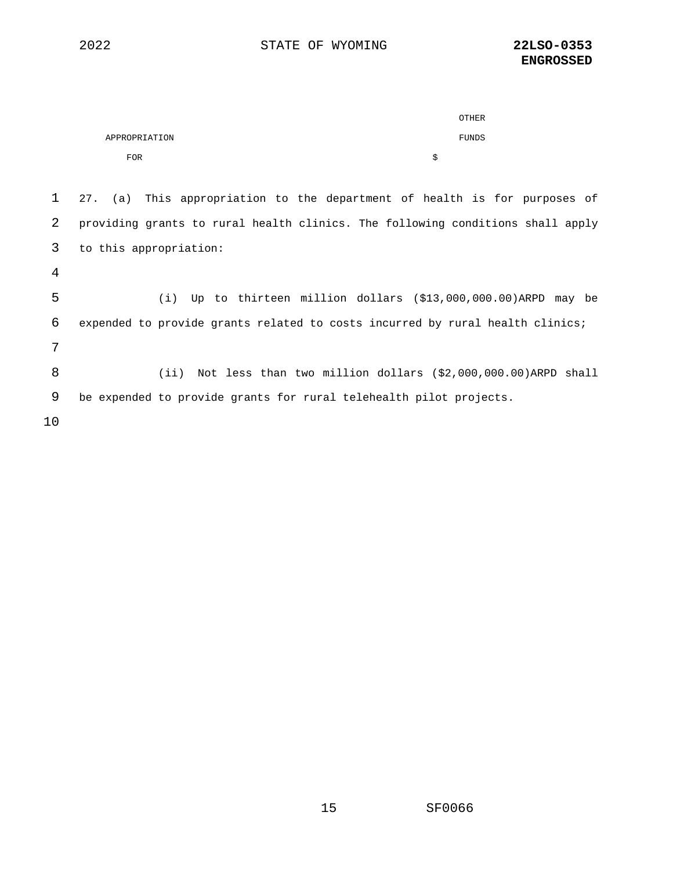|               | OTHER |
|---------------|-------|
| APPROPRIATION | FUNDS |
| <b>FOR</b>    |       |

 27. (a) This appropriation to the department of health is for purposes of providing grants to rural health clinics. The following conditions shall apply to this appropriation:

 (i) Up to thirteen million dollars (\$13,000,000.00)ARPD may be expended to provide grants related to costs incurred by rural health clinics; (ii) Not less than two million dollars (\$2,000,000.00)ARPD shall be expended to provide grants for rural telehealth pilot projects.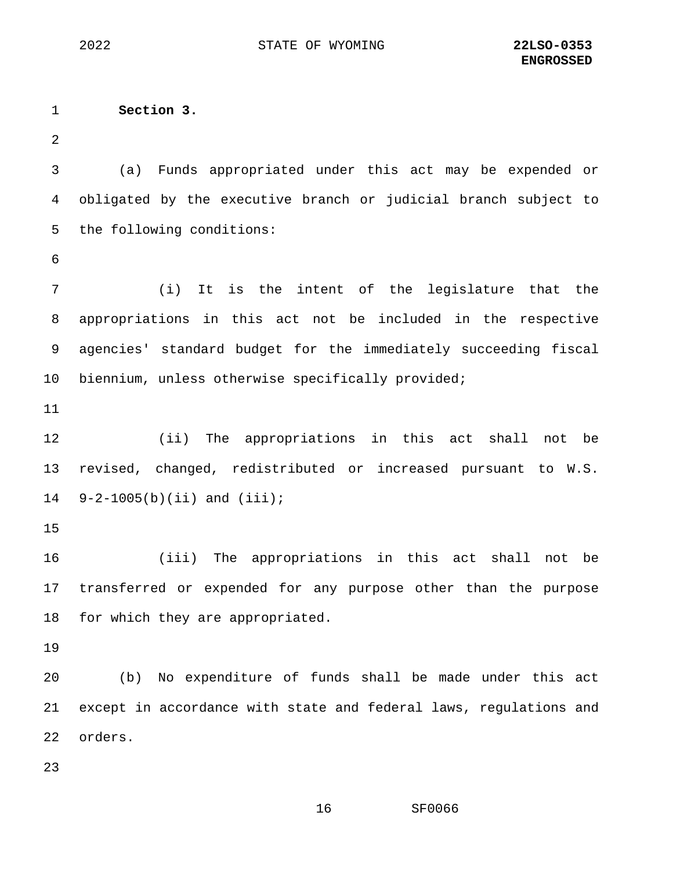2022 STATE OF WYOMING **22LSO-0353**

1 **Section 3.**  2 3 (a) Funds appropriated under this act may be expended or 4 obligated by the executive branch or judicial branch subject to 5 the following conditions: 6 7 (i) It is the intent of the legislature that the 8 appropriations in this act not be included in the respective 9 agencies' standard budget for the immediately succeeding fiscal 10 biennium, unless otherwise specifically provided; 11 12 (ii) The appropriations in this act shall not be 13 revised, changed, redistributed or increased pursuant to W.S. 14 9-2-1005(b)(ii) and (iii); 15 16 (iii) The appropriations in this act shall not be 17 transferred or expended for any purpose other than the purpose 18 for which they are appropriated. 19 20 (b) No expenditure of funds shall be made under this act 21 except in accordance with state and federal laws, regulations and 22 orders. 23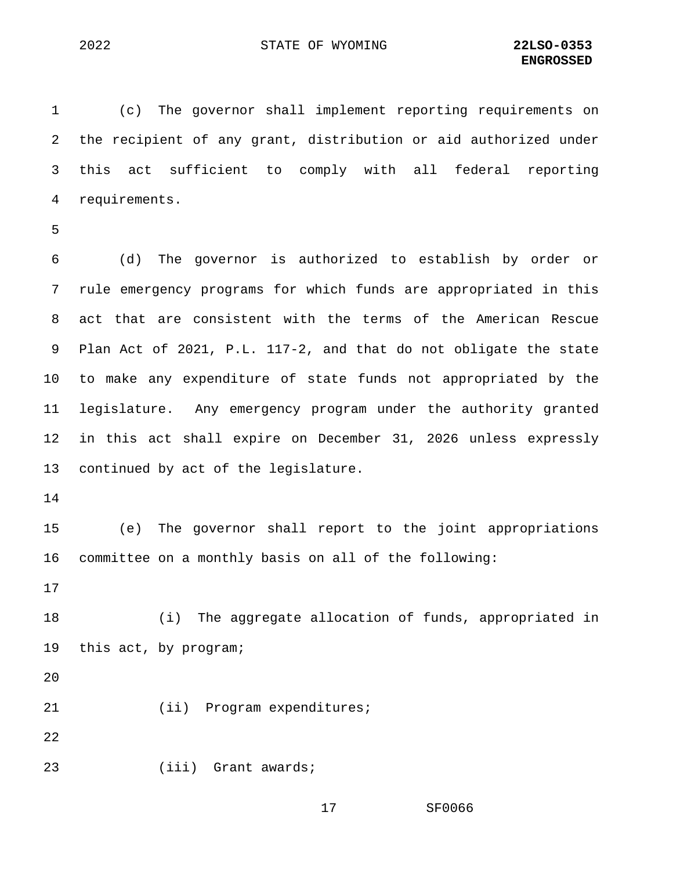1 (c) The governor shall implement reporting requirements on 2 the recipient of any grant, distribution or aid authorized under 3 this act sufficient to comply with all federal reporting 4 requirements.

5

6 (d) The governor is authorized to establish by order or 7 rule emergency programs for which funds are appropriated in this 8 act that are consistent with the terms of the American Rescue 9 Plan Act of 2021, P.L. 117-2, and that do not obligate the state 10 to make any expenditure of state funds not appropriated by the 11 legislature. Any emergency program under the authority granted 12 in this act shall expire on December 31, 2026 unless expressly 13 continued by act of the legislature.

14

15 (e) The governor shall report to the joint appropriations 16 committee on a monthly basis on all of the following:

17

18 (i) The aggregate allocation of funds, appropriated in 19 this act, by program;

20

21 (ii) Program expenditures;

22

23 (iii) Grant awards;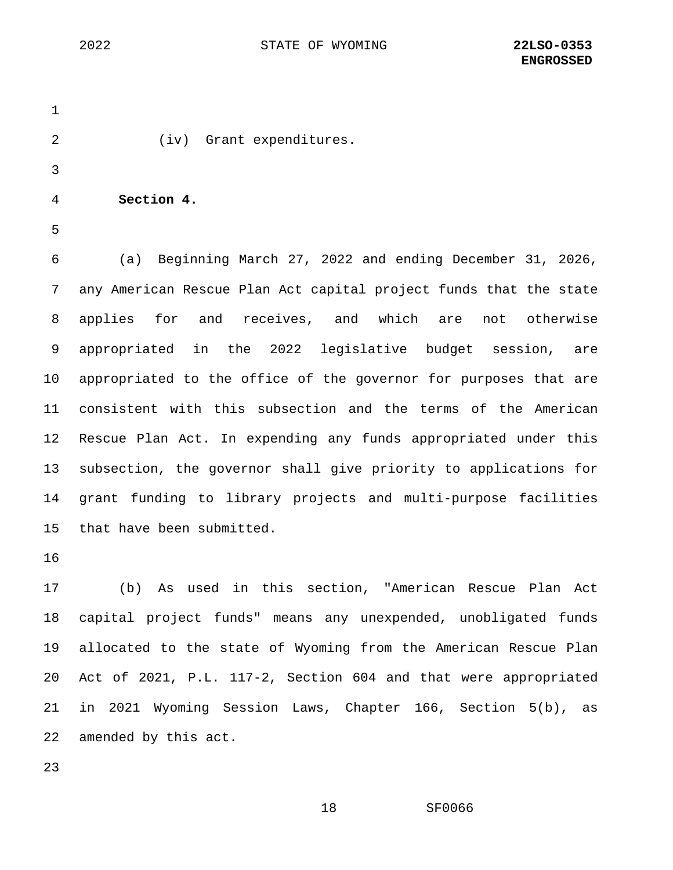1 2 (iv) Grant expenditures. 3 4 **Section 4.** 5

6 (a) Beginning March 27, 2022 and ending December 31, 2026, 7 any American Rescue Plan Act capital project funds that the state 8 applies for and receives, and which are not otherwise 9 appropriated in the 2022 legislative budget session, are 10 appropriated to the office of the governor for purposes that are 11 consistent with this subsection and the terms of the American 12 Rescue Plan Act. In expending any funds appropriated under this 13 subsection, the governor shall give priority to applications for 14 grant funding to library projects and multi-purpose facilities 15 that have been submitted.

16

17 (b) As used in this section, "American Rescue Plan Act 18 capital project funds" means any unexpended, unobligated funds 19 allocated to the state of Wyoming from the American Rescue Plan 20 Act of 2021, P.L. 117-2, Section 604 and that were appropriated 21 in 2021 Wyoming Session Laws, Chapter 166, Section 5(b), as 22 amended by this act.

23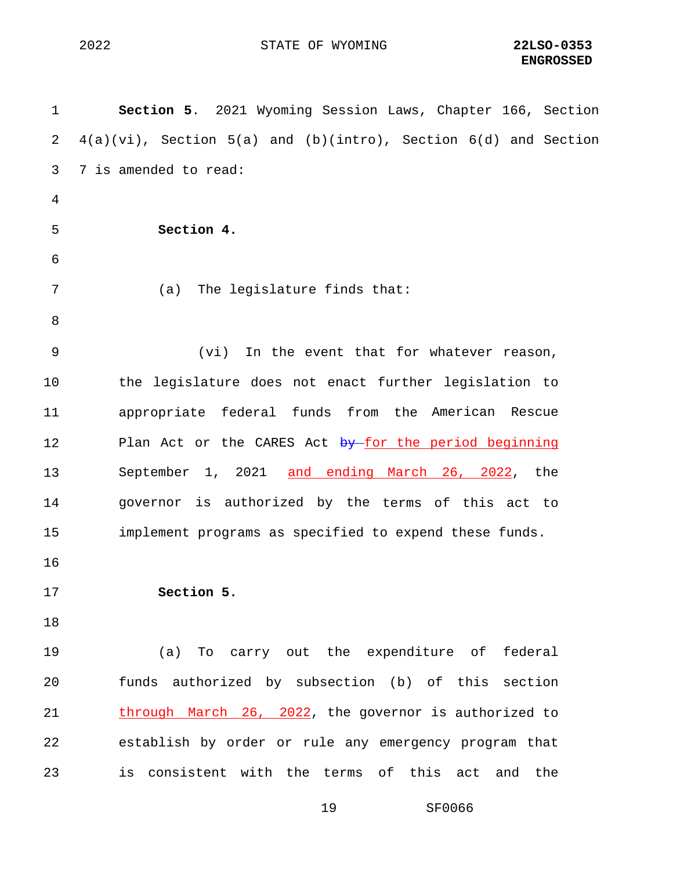1 **Section 5**. 2021 Wyoming Session Laws, Chapter 166, Section 2 4(a)(vi), Section 5(a) and (b)(intro), Section 6(d) and Section 3 7 is amended to read: 4 5 **Section 4.** 6 7 (a) The legislature finds that: 8 9 (vi) In the event that for whatever reason, 10 the legislature does not enact further legislation to 11 appropriate federal funds from the American Rescue 12 Plan Act or the CARES Act by for the period beginning 13 September 1, 2021 and ending March 26, 2022, the 14 governor is authorized by the terms of this act to 15 implement programs as specified to expend these funds. 16 17 **Section 5.** 18 19 (a) To carry out the expenditure of federal 20 funds authorized by subsection (b) of this section 21 through March 26, 2022, the governor is authorized to 22 establish by order or rule any emergency program that 23 is consistent with the terms of this act and the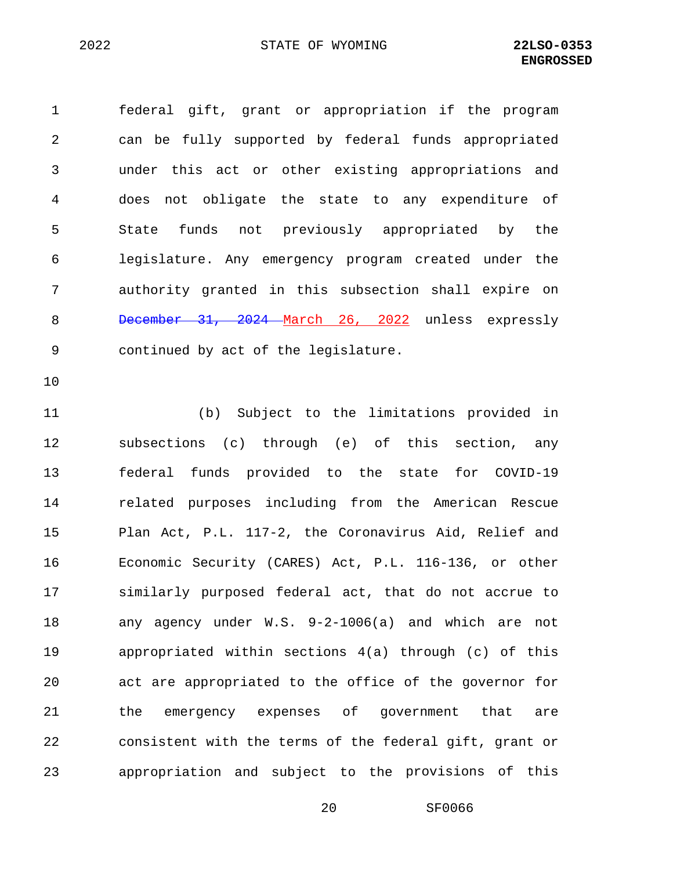1 federal gift, grant or appropriation if the program 2 can be fully supported by federal funds appropriated 3 under this act or other existing appropriations and 4 does not obligate the state to any expenditure of 5 State funds not previously appropriated by the 6 legislature. Any emergency program created under the 7 authority granted in this subsection shall expire on 8 December 31, 2024 March 26, 2022 unless expressly 9 continued by act of the legislature.

10

11 (b) Subject to the limitations provided in 12 subsections (c) through (e) of this section, any 13 federal funds provided to the state for COVID-19 14 related purposes including from the American Rescue 15 Plan Act, P.L. 117-2, the Coronavirus Aid, Relief and 16 Economic Security (CARES) Act, P.L. 116-136, or other 17 similarly purposed federal act, that do not accrue to 18 any agency under W.S. 9-2-1006(a) and which are not 19 appropriated within sections 4(a) through (c) of this 20 act are appropriated to the office of the governor for 21 the emergency expenses of government that are 22 consistent with the terms of the federal gift, grant or 23 appropriation and subject to the provisions of this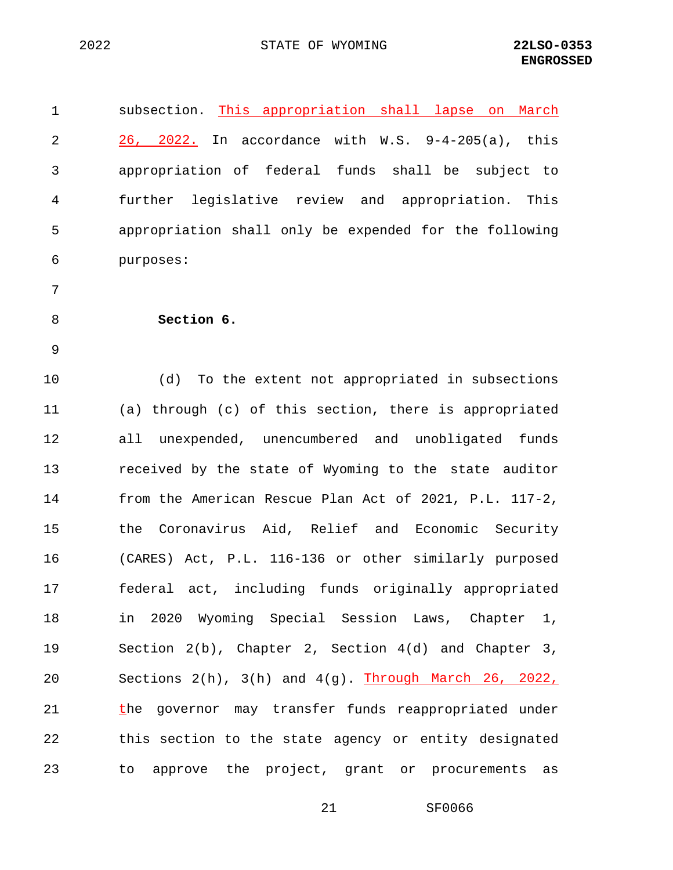1 subsection. This appropriation shall lapse on March 2 26, 2022. In accordance with W.S. 9-4-205(a), this 3 appropriation of federal funds shall be subject to 4 further legislative review and appropriation. This 5 appropriation shall only be expended for the following 6 purposes: 7 8 **Section 6.** 9 10 (d) To the extent not appropriated in subsections 11 (a) through (c) of this section, there is appropriated 12 all unexpended, unencumbered and unobligated funds 13 received by the state of Wyoming to the state auditor 14 from the American Rescue Plan Act of 2021, P.L. 117-2, 15 the Coronavirus Aid, Relief and Economic Security 16 (CARES) Act, P.L. 116-136 or other similarly purposed 17 federal act, including funds originally appropriated 18 in 2020 Wyoming Special Session Laws, Chapter 1, 19 Section 2(b), Chapter 2, Section 4(d) and Chapter 3, 20 Sections 2(h), 3(h) and 4(g). Through March 26, 2022, 21 the governor may transfer funds reappropriated under 22 this section to the state agency or entity designated 23 to approve the project, grant or procurements as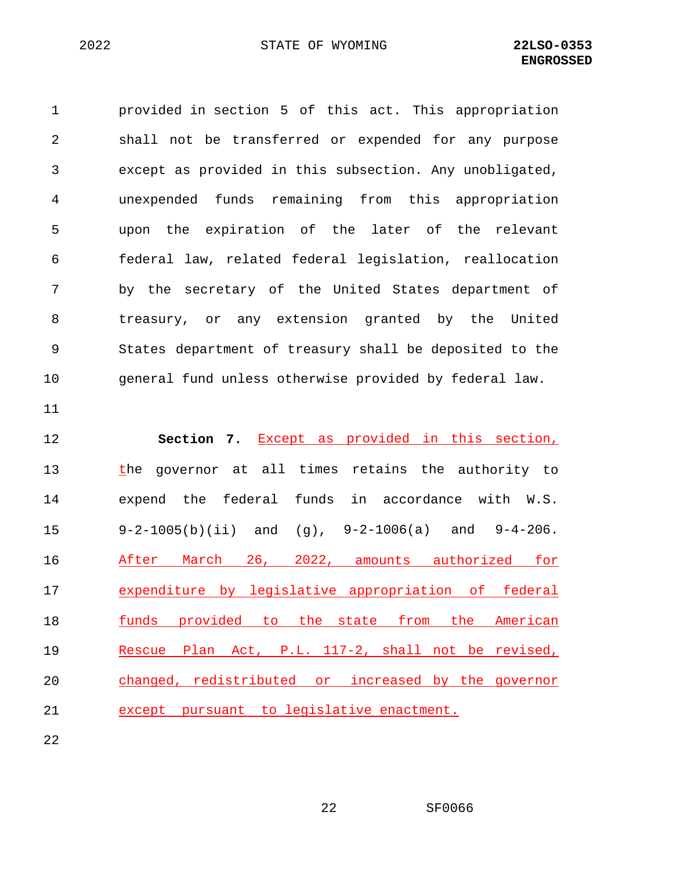1 provided in section 5 of this act. This appropriation 2 shall not be transferred or expended for any purpose 3 except as provided in this subsection. Any unobligated, 4 unexpended funds remaining from this appropriation 5 upon the expiration of the later of the relevant 6 federal law, related federal legislation, reallocation 7 by the secretary of the United States department of 8 treasury, or any extension granted by the United 9 States department of treasury shall be deposited to the 10 general fund unless otherwise provided by federal law. 11 12 **Section 7.** Except as provided in this section, 13 the governor at all times retains the authority to 14 expend the federal funds in accordance with W.S. 15 9-2-1005(b)(ii) and (g), 9-2-1006(a) and 9-4-206.

 After March 26, 2022, amounts authorized for expenditure by legislative appropriation of federal **funds** provided to the state from the American Rescue Plan Act, P.L. 117-2, shall not be revised, changed, redistributed or increased by the governor except pursuant to legislative enactment.

22